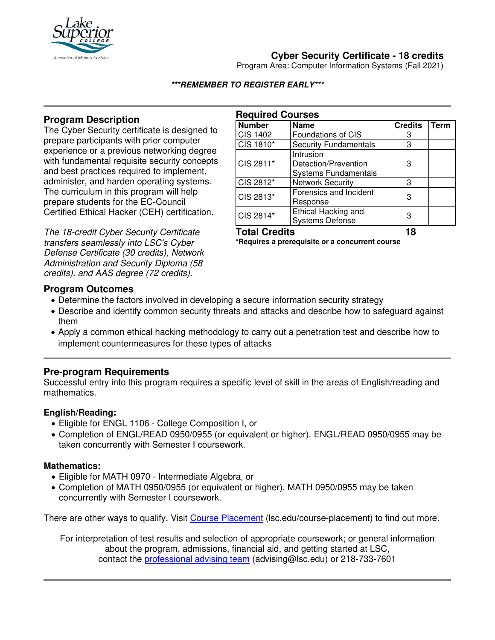

# **Cyber Security Certificate - 18 credits**

Program Area: Computer Information Systems (Fall 2021)

#### **\*\*\*REMEMBER TO REGISTER EARLY\*\*\***

## **Program Description**

The Cyber Security certificate is designed to prepare participants with prior computer experience or a previous networking degree with fundamental requisite security concepts and best practices required to implement, administer, and harden operating systems. The curriculum in this program will help prepare students for the EC-Council Certified Ethical Hacker (CEH) certification.

The 18-credit Cyber Security Certificate transfers seamlessly into LSC's Cyber Defense Certificate (30 credits), Network Administration and Security Diploma (58 credits), and AAS degree (72 credits).

| <b>Required Courses</b> |                                                                  |                |             |
|-------------------------|------------------------------------------------------------------|----------------|-------------|
| <b>Number</b>           | <b>Name</b>                                                      | <b>Credits</b> | <b>Term</b> |
| <b>CIS 1402</b>         | <b>Foundations of CIS</b>                                        | З              |             |
| CIS 1810*               | <b>Security Fundamentals</b>                                     | 3              |             |
| CIS 2811*               | Intrusion<br>Detection/Prevention<br><b>Systems Fundamentals</b> | З              |             |
| CIS 2812*               | <b>Network Security</b>                                          | 3              |             |
| CIS 2813*               | Forensics and Incident<br>Response                               | 3              |             |
| CIS 2814*               | Ethical Hacking and<br><b>Systems Defense</b>                    |                |             |

# **Total Credits 18**

**\*Requires a prerequisite or a concurrent course**

#### **Program Outcomes**

- Determine the factors involved in developing a secure information security strategy
- Describe and identify common security threats and attacks and describe how to safeguard against them
- Apply a common ethical hacking methodology to carry out a penetration test and describe how to implement countermeasures for these types of attacks

### **Pre-program Requirements**

Successful entry into this program requires a specific level of skill in the areas of English/reading and mathematics.

#### **English/Reading:**

- Eligible for ENGL 1106 College Composition I, or
- Completion of ENGL/READ 0950/0955 (or equivalent or higher). ENGL/READ 0950/0955 may be taken concurrently with Semester I coursework.

#### **Mathematics:**

- Eligible for MATH 0970 Intermediate Algebra, or
- Completion of MATH 0950/0955 (or equivalent or higher). MATH 0950/0955 may be taken concurrently with Semester I coursework.

There are other ways to qualify. Visit [Course Placement](https://www.lsc.edu/course-placement/) (lsc.edu/course-placement) to find out more.

For interpretation of test results and selection of appropriate coursework; or general information about the program, admissions, financial aid, and getting started at LSC, contact the [professional advising team](mailto:advising@lsc.edu) (advising@lsc.edu) or 218-733-7601